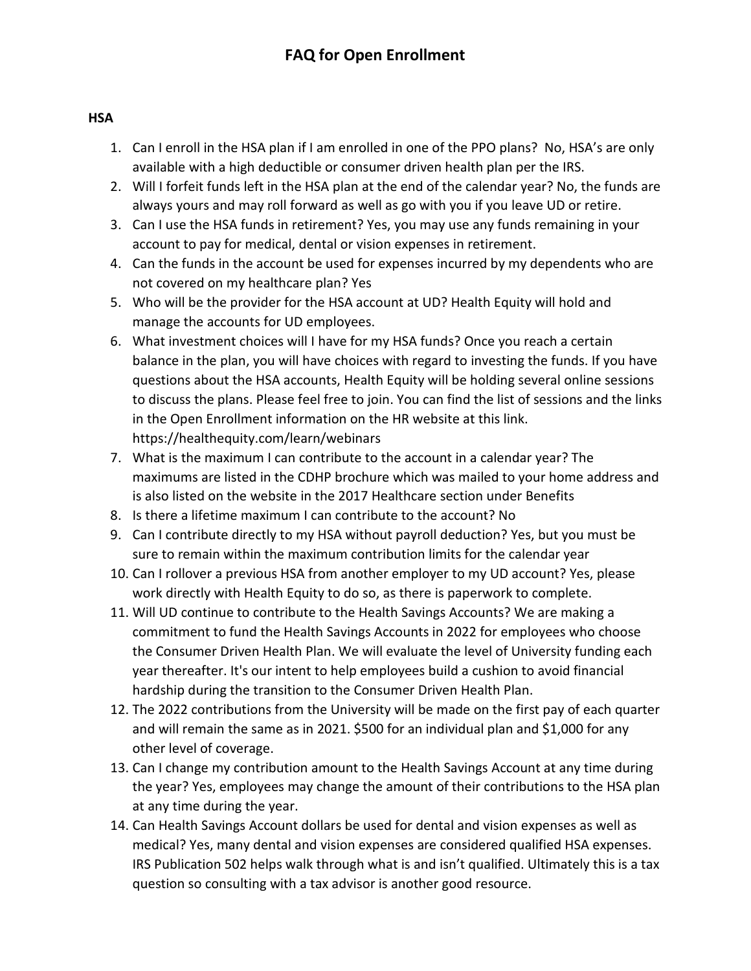#### **HSA**

- 1. Can I enroll in the HSA plan if I am enrolled in one of the PPO plans? No, HSA's are only available with a high deductible or consumer driven health plan per the IRS.
- 2. Will I forfeit funds left in the HSA plan at the end of the calendar year? No, the funds are always yours and may roll forward as well as go with you if you leave UD or retire.
- 3. Can I use the HSA funds in retirement? Yes, you may use any funds remaining in your account to pay for medical, dental or vision expenses in retirement.
- 4. Can the funds in the account be used for expenses incurred by my dependents who are not covered on my healthcare plan? Yes
- 5. Who will be the provider for the HSA account at UD? Health Equity will hold and manage the accounts for UD employees.
- 6. What investment choices will I have for my HSA funds? Once you reach a certain balance in the plan, you will have choices with regard to investing the funds. If you have questions about the HSA accounts, Health Equity will be holding several online sessions to discuss the plans. Please feel free to join. You can find the list of sessions and the links in the Open Enrollment information on the HR website at this link. https://healthequity.com/learn/webinars
- 7. What is the maximum I can contribute to the account in a calendar year? The maximums are listed in the CDHP brochure which was mailed to your home address and is also listed on the website in the 2017 Healthcare section under Benefits
- 8. Is there a lifetime maximum I can contribute to the account? No
- 9. Can I contribute directly to my HSA without payroll deduction? Yes, but you must be sure to remain within the maximum contribution limits for the calendar year
- 10. Can I rollover a previous HSA from another employer to my UD account? Yes, please work directly with Health Equity to do so, as there is paperwork to complete.
- 11. Will UD continue to contribute to the Health Savings Accounts? We are making a commitment to fund the Health Savings Accounts in 2022 for employees who choose the Consumer Driven Health Plan. We will evaluate the level of University funding each year thereafter. It's our intent to help employees build a cushion to avoid financial hardship during the transition to the Consumer Driven Health Plan.
- 12. The 2022 contributions from the University will be made on the first pay of each quarter and will remain the same as in 2021. \$500 for an individual plan and \$1,000 for any other level of coverage.
- 13. Can I change my contribution amount to the Health Savings Account at any time during the year? Yes, employees may change the amount of their contributions to the HSA plan at any time during the year.
- 14. Can Health Savings Account dollars be used for dental and vision expenses as well as medical? Yes, many dental and vision expenses are considered qualified HSA expenses. IRS Publication 502 helps walk through what is and isn't qualified. Ultimately this is a tax question so consulting with a tax advisor is another good resource.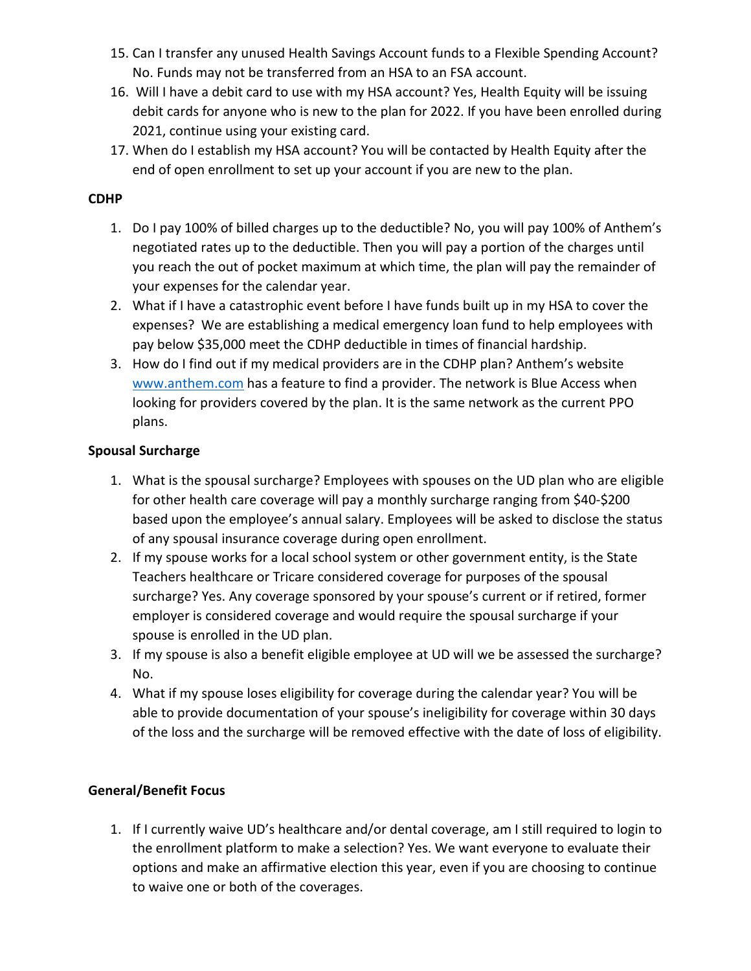- 15. Can I transfer any unused Health Savings Account funds to a Flexible Spending Account? No. Funds may not be transferred from an HSA to an FSA account.
- 16. Will I have a debit card to use with my HSA account? Yes, Health Equity will be issuing debit cards for anyone who is new to the plan for 2022. If you have been enrolled during 2021, continue using your existing card.
- 17. When do I establish my HSA account? You will be contacted by Health Equity after the end of open enrollment to set up your account if you are new to the plan.

#### **CDHP**

- 1. Do I pay 100% of billed charges up to the deductible? No, you will pay 100% of Anthem's negotiated rates up to the deductible. Then you will pay a portion of the charges until you reach the out of pocket maximum at which time, the plan will pay the remainder of your expenses for the calendar year.
- 2. What if I have a catastrophic event before I have funds built up in my HSA to cover the expenses? We are establishing a medical emergency loan fund to help employees with pay below \$35,000 meet the CDHP deductible in times of financial hardship.
- 3. How do I find out if my medical providers are in the CDHP plan? Anthem's website [www.anthem.com](http://www.anthem.com/) has a feature to find a provider. The network is Blue Access when looking for providers covered by the plan. It is the same network as the current PPO plans.

### **Spousal Surcharge**

- 1. What is the spousal surcharge? Employees with spouses on the UD plan who are eligible for other health care coverage will pay a monthly surcharge ranging from \$40-\$200 based upon the employee's annual salary. Employees will be asked to disclose the status of any spousal insurance coverage during open enrollment.
- 2. If my spouse works for a local school system or other government entity, is the State Teachers healthcare or Tricare considered coverage for purposes of the spousal surcharge? Yes. Any coverage sponsored by your spouse's current or if retired, former employer is considered coverage and would require the spousal surcharge if your spouse is enrolled in the UD plan.
- 3. If my spouse is also a benefit eligible employee at UD will we be assessed the surcharge? No.
- 4. What if my spouse loses eligibility for coverage during the calendar year? You will be able to provide documentation of your spouse's ineligibility for coverage within 30 days of the loss and the surcharge will be removed effective with the date of loss of eligibility.

#### **General/Benefit Focus**

1. If I currently waive UD's healthcare and/or dental coverage, am I still required to login to the enrollment platform to make a selection? Yes. We want everyone to evaluate their options and make an affirmative election this year, even if you are choosing to continue to waive one or both of the coverages.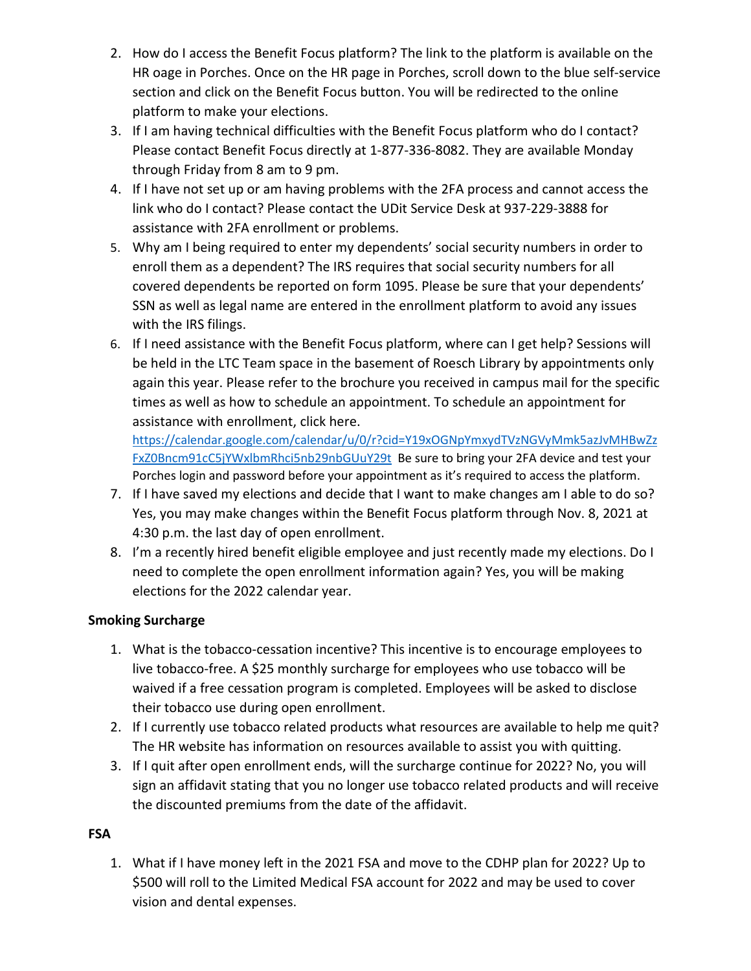- 2. How do I access the Benefit Focus platform? The link to the platform is available on the HR oage in Porches. Once on the HR page in Porches, scroll down to the blue self-service section and click on the Benefit Focus button. You will be redirected to the online platform to make your elections.
- 3. If I am having technical difficulties with the Benefit Focus platform who do I contact? Please contact Benefit Focus directly at 1-877-336-8082. They are available Monday through Friday from 8 am to 9 pm.
- 4. If I have not set up or am having problems with the 2FA process and cannot access the link who do I contact? Please contact the UDit Service Desk at 937-229-3888 for assistance with 2FA enrollment or problems.
- 5. Why am I being required to enter my dependents' social security numbers in order to enroll them as a dependent? The IRS requires that social security numbers for all covered dependents be reported on form 1095. Please be sure that your dependents' SSN as well as legal name are entered in the enrollment platform to avoid any issues with the IRS filings.
- 6. If I need assistance with the Benefit Focus platform, where can I get help? Sessions will be held in the LTC Team space in the basement of Roesch Library by appointments only again this year. Please refer to the brochure you received in campus mail for the specific times as well as how to schedule an appointment. To schedule an appointment for assistance with enrollment, click here.

[https://calendar.google.com/calendar/u/0/r?cid=Y19xOGNpYmxydTVzNGVyMmk5azJvMHBwZz](https://calendar.google.com/calendar/u/0/r?cid=Y19xOGNpYmxydTVzNGVyMmk5azJvMHBwZzFxZ0Bncm91cC5jYWxlbmRhci5nb29nbGUuY29t) [FxZ0Bncm91cC5jYWxlbmRhci5nb29nbGUuY29t](https://calendar.google.com/calendar/u/0/r?cid=Y19xOGNpYmxydTVzNGVyMmk5azJvMHBwZzFxZ0Bncm91cC5jYWxlbmRhci5nb29nbGUuY29t) Be sure to bring your 2FA device and test your Porches login and password before your appointment as it's required to access the platform.

- 7. If I have saved my elections and decide that I want to make changes am I able to do so? Yes, you may make changes within the Benefit Focus platform through Nov. 8, 2021 at 4:30 p.m. the last day of open enrollment.
- 8. I'm a recently hired benefit eligible employee and just recently made my elections. Do I need to complete the open enrollment information again? Yes, you will be making elections for the 2022 calendar year.

### **Smoking Surcharge**

- 1. What is the tobacco-cessation incentive? This incentive is to encourage employees to live tobacco-free. A \$25 monthly surcharge for employees who use tobacco will be waived if a free cessation program is completed. Employees will be asked to disclose their tobacco use during open enrollment.
- 2. If I currently use tobacco related products what resources are available to help me quit? The HR website has information on resources available to assist you with quitting.
- 3. If I quit after open enrollment ends, will the surcharge continue for 2022? No, you will sign an affidavit stating that you no longer use tobacco related products and will receive the discounted premiums from the date of the affidavit.

# **FSA**

1. What if I have money left in the 2021 FSA and move to the CDHP plan for 2022? Up to \$500 will roll to the Limited Medical FSA account for 2022 and may be used to cover vision and dental expenses.